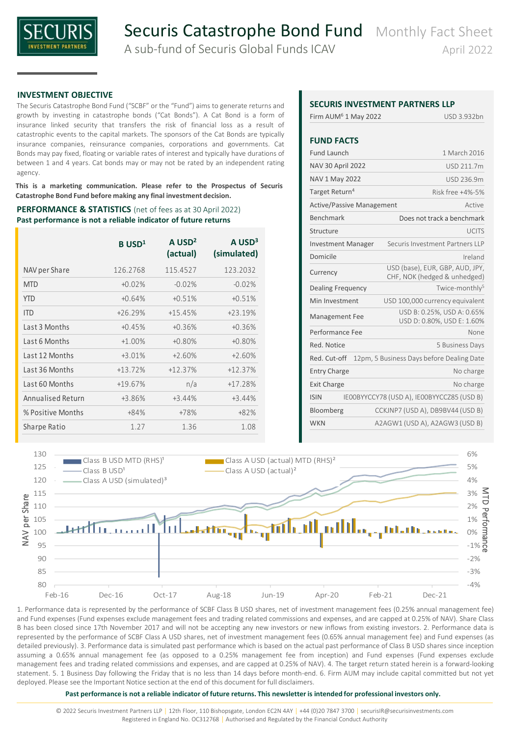

## **INVESTMENT OBJECTIVE**

The Securis Catastrophe Bond Fund ("SCBF" or the "Fund") aims to generate returns and growth by investing in catastrophe bonds ("Cat Bonds"). A Cat Bond is a form of insurance linked security that transfers the risk of financial loss as a result of catastrophic events to the capital markets. The sponsors of the Cat Bonds are typically insurance companies, reinsurance companies, corporations and governments. Cat Bonds may pay fixed, floating or variable rates of interest and typically have durations of between 1 and 4 years. Cat bonds may or may not be rated by an independent rating agency.

**This is a marketing communication. Please refer to the Prospectus of Securis Catastrophe Bond Fund before making any final investment decision.**

### **PERFORMANCE & STATISTICS** (net of fees as at 30 April 2022) **Past performance is not a reliable indicator of future returns**

|                   | $B$ USD <sup>1</sup> | $A$ USD <sup>2</sup><br>(actual) | $A$ USD <sup>3</sup><br>(simulated) |
|-------------------|----------------------|----------------------------------|-------------------------------------|
| NAV per Share     | 126.2768             | 115.4527                         | 123.2032                            |
| <b>MTD</b>        | $+0.02%$             | $-0.02%$                         | $-0.02%$                            |
| <b>YTD</b>        | $+0.64%$             | $+0.51%$                         | $+0.51%$                            |
| <b>ITD</b>        | $+26.29%$            | $+15.45%$                        | $+23.19%$                           |
| Last 3 Months     | $+0.45%$             | $+0.36%$                         | $+0.36%$                            |
| Last 6 Months     | $+1.00%$             | $+0.80%$                         | $+0.80%$                            |
| Last 12 Months    | $+3.01%$             | $+2.60%$                         | $+2.60%$                            |
| Last 36 Months    | $+13.72%$            | $+12.37%$                        | $+12.37%$                           |
| Last 60 Months    | $+19.67%$            | n/a                              | $+17.28%$                           |
| Annualised Return | $+3.86%$             | $+3.44%$                         | $+3.44%$                            |
| % Positive Months | $+84%$               | $+78%$                           | +82%                                |
| Sharpe Ratio      | 1.27                 | 1.36                             | 1.08                                |

# **SECURIS INVESTMENT PARTNERS LLP**

| Firm AUM <sup>6</sup> 1 May 2022 | USD 3.932bn                                                     |  |  |  |  |  |
|----------------------------------|-----------------------------------------------------------------|--|--|--|--|--|
| <b>FUND FACTS</b>                |                                                                 |  |  |  |  |  |
| <b>Fund Launch</b>               | 1 March 2016                                                    |  |  |  |  |  |
| <b>NAV 30 April 2022</b>         | USD 211.7m                                                      |  |  |  |  |  |
| NAV 1 May 2022                   | USD 236.9m                                                      |  |  |  |  |  |
| Target Return <sup>4</sup>       | Risk free +4%-5%                                                |  |  |  |  |  |
| <b>Active/Passive Management</b> | Active                                                          |  |  |  |  |  |
| Benchmark                        | Does not track a benchmark                                      |  |  |  |  |  |
| Structure                        | <b>UCITS</b>                                                    |  |  |  |  |  |
| <b>Investment Manager</b>        | Securis Investment Partners IIP                                 |  |  |  |  |  |
| Domicile                         | Ireland                                                         |  |  |  |  |  |
| Currency                         | USD (base), EUR, GBP, AUD, JPY,<br>CHF, NOK (hedged & unhedged) |  |  |  |  |  |
| <b>Dealing Frequency</b>         | Twice-monthly <sup>5</sup>                                      |  |  |  |  |  |
| Min Investment                   | USD 100,000 currency equivalent                                 |  |  |  |  |  |
| Management Fee                   | USD B: 0.25%, USD A: 0.65%<br>USD D: 0.80%, USD E: 1.60%        |  |  |  |  |  |
| Performance Fee                  | None                                                            |  |  |  |  |  |
| Red. Notice                      | 5 Business Days                                                 |  |  |  |  |  |
| Red. Cut-off                     | 12pm, 5 Business Days before Dealing Date                       |  |  |  |  |  |
| <b>Entry Charge</b>              | No charge                                                       |  |  |  |  |  |
| <b>Exit Charge</b>               | No charge                                                       |  |  |  |  |  |
| <b>ISIN</b>                      | IEOOBYYCCY78 (USD A), IEOOBYYCCZ85 (USD B)                      |  |  |  |  |  |
| Bloomberg                        | CCKJNP7 (USD A), DB9BV44 (USD B)                                |  |  |  |  |  |
| <b>WKN</b>                       | A2AGW1 (USD A), A2AGW3 (USD B)                                  |  |  |  |  |  |



1. Performance data is represented by the performance of SCBF Class B USD shares, net of investment management fees (0.25% annual management fee) and Fund expenses (Fund expenses exclude management fees and trading related commissions and expenses, and are capped at 0.25% of NAV). Share Class B has been closed since 17th November 2017 and will not be accepting any new investors or new inflows from existing investors. 2. Performance data is represented by the performance of SCBF Class A USD shares, net of investment management fees (0.65% annual management fee) and Fund expenses (as detailed previously). 3. Performance data is simulated past performance which is based on the actual past performance of Class B USD shares since inception assuming a 0.65% annual management fee (as opposed to a 0.25% management fee from inception) and Fund expenses (Fund expenses exclude management fees and trading related commissions and expenses, and are capped at 0.25% of NAV). 4. The target return stated herein is a forward-looking statement. 5. 1 Business Day following the Friday that is no less than 14 days before month-end. 6. Firm AUM may include capital committed but not yet deployed. Please see the Important Notice section at the end of this document for full disclaimers.

#### **Past performance is not a reliable indicator of future returns. This newsletter is intended for professional investors only.**

© 2022 Securis Investment Partners LLP │ 12th Floor, 110 Bishopsgate, London EC2N 4AY │ +44 (0)20 7847 3700 │ securisIR@securisinvestments.com Registered in England No. OC312768 | Authorised and Regulated by the Financial Conduct Authority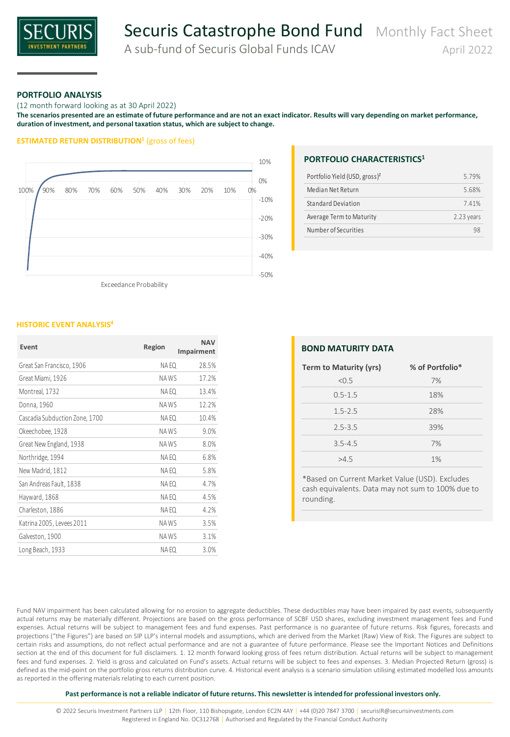

# Securis Catastrophe Bond Fund Monthly Fact Sheet

A sub-fund of Securis Global Funds ICAV April 2022

## **PORTFOLIO ANALYSIS**

(12 month forward looking as at 30 April 2022)

**The scenarios presented are an estimate of future performance and are not an exact indicator. Results will vary depending on market performance, duration of investment, and personal taxation status, which are subject to change.**

### **ESTIMATED RETURN DISTRIBUTION<sup>1</sup>** (gross of fees)



Exceedance Probability

#### **HISTORIC EVENT ANALYSIS<sup>4</sup>**

| Event                          | Region | <b>NAV</b><br>Impairment |
|--------------------------------|--------|--------------------------|
| Great San Francisco, 1906      | NA EQ  | 28.5%                    |
| Great Miami, 1926              | NA WS  | 17.2%                    |
| Montreal, 1732                 | NA EQ  | 13.4%                    |
| Donna, 1960                    | NAWS   | 12.2%                    |
| Cascadia Subduction Zone, 1700 | NA EQ  | 10.4%                    |
| Okeechobee, 1928               | NA WS  | 9.0%                     |
| Great New England, 1938        | NAWS   | 8.0%                     |
| Northridge, 1994               | NA EQ  | 6.8%                     |
| New Madrid, 1812               | NA EQ  | 5.8%                     |
| San Andreas Fault, 1838        | NA EQ  | 4.7%                     |
| Hayward, 1868                  | NA EQ  | 4.5%                     |
| Charleston, 1886               | NA EQ  | 4.2%                     |
| Katrina 2005, Levees 2011      | NAWS   | 3.5%                     |
| Galveston, 1900                | NAWS   | 3.1%                     |
| Long Beach, 1933               | NA EQ  | 3.0%                     |

## **PORTFOLIO CHARACTERISTICS<sup>1</sup>**

| 579%         |
|--------------|
| 568%         |
| 741%         |
| $2.23$ years |
| qя           |
|              |

| <b>BOND MATURITY DATA</b> |                 |  |  |  |  |  |  |
|---------------------------|-----------------|--|--|--|--|--|--|
| Term to Maturity (yrs)    | % of Portfolio* |  |  |  |  |  |  |
| < 0.5                     | 7%              |  |  |  |  |  |  |
| $0.5 - 1.5$               | 18%             |  |  |  |  |  |  |
| $1.5 - 2.5$               | 28%             |  |  |  |  |  |  |
| $2.5 - 3.5$               | 39%             |  |  |  |  |  |  |
| $3.5 - 4.5$               | 7%              |  |  |  |  |  |  |
| >4.5                      | 1%              |  |  |  |  |  |  |

\*Based on Current Market Value (USD). Excludes cash equivalents. Data may not sum to 100% due to rounding.

Fund NAV impairment has been calculated allowing for no erosion to aggregate deductibles. These deductibles may have been impaired by past events, subsequently actual returns may be materially different. Projections are based on the gross performance of SCBF USD shares, excluding investment management fees and Fund expenses. Actual returns will be subject to management fees and fund expenses. Past performance is no guarantee of future returns. Risk figures, forecasts and projections ("the Figures") are based on SIP LLP's internal models and assumptions, which are derived from the Market (Raw) View of Risk. The Figures are subject to certain risks and assumptions, do not reflect actual performance and are not a guarantee of future performance. Please see the Important Notices and Definitions section at the end of this document for full disclaimers. 1. 12 month forward looking gross of fees return distribution. Actual returns will be subject to management fees and fund expenses. 2. Yield is gross and calculated on Fund's assets. Actual returns will be subject to fees and expenses. 3. Median Projected Return (gross) is defined as the mid-point on the portfolio gross returns distribution curve. 4. Historical event analysis is a scenario simulation utilising estimated modelled loss amounts as reported in the offering materials relating to each current position.

#### **Past performance is not a reliable indicator of future returns. This newsletter is intended for professional investors only.**

© 2022 Securis Investment Partners LLP │ 12th Floor, 110 Bishopsgate, London EC2N 4AY │ +44 (0)20 7847 3700 │ securisIR@securisinvestments.com Registered in England No. OC312768 | Authorised and Regulated by the Financial Conduct Authority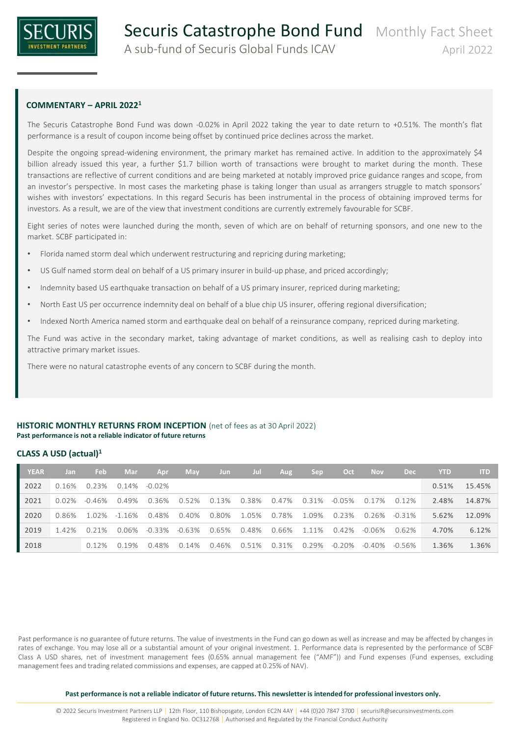

# **COMMENTARY – APRIL 2022<sup>1</sup>**

The Securis Catastrophe Bond Fund was down -0.02% in April 2022 taking the year to date return to +0.51%. The month's flat performance is a result of coupon income being offset by continued price declines across the market.

Despite the ongoing spread-widening environment, the primary market has remained active. In addition to the approximately \$4 billion already issued this year, a further \$1.7 billion worth of transactions were brought to market during the month. These transactions are reflective of current conditions and are being marketed at notably improved price guidance ranges and scope, from an investor's perspective. In most cases the marketing phase is taking longer than usual as arrangers struggle to match sponsors' wishes with investors' expectations. In this regard Securis has been instrumental in the process of obtaining improved terms for investors. As a result, we are of the view that investment conditions are currently extremely favourable for SCBF.

Eight series of notes were launched during the month, seven of which are on behalf of returning sponsors, and one new to the market. SCBF participated in:

- Florida named storm deal which underwent restructuring and repricing during marketing;
- US Gulf named storm deal on behalf of a US primary insurer in build-up phase, and priced accordingly;
- Indemnity based US earthquake transaction on behalf of a US primary insurer, repriced during marketing;
- North East US per occurrence indemnity deal on behalf of a blue chip US insurer, offering regional diversification;
- Indexed North America named storm and earthquake deal on behalf of a reinsurance company, repriced during marketing.

The Fund was active in the secondary market, taking advantage of market conditions, as well as realising cash to deploy into attractive primary market issues.

There were no natural catastrophe events of any concern to SCBF during the month.

# **HISTORIC MONTHLY RETURNS FROM INCEPTION** (net of fees as at 30 April 2022) **Past performance is not a reliable indicator of future returns**

## **CLASS A USD (actual)<sup>1</sup>**

| <b>YEAR</b> | Jan      | <b>Feb</b> | <b>Mar</b> | Apr             | <b>May</b> | Jun         | Jul         | Aug                     | <b>Sep</b> | Oct       | <b>Nov</b> | <b>Dec</b> | <b>YTD</b> | <b>ITD</b> |
|-------------|----------|------------|------------|-----------------|------------|-------------|-------------|-------------------------|------------|-----------|------------|------------|------------|------------|
| 2022        | 0.16%    | 0.23%      |            | $0.14\%$ -0.02% |            |             |             |                         |            |           |            |            | 0.51%      | 15.45%     |
| 2021        | $0.02\%$ | -0.46%     | 0.49%      | 0.36%           | 0.52%      |             |             | 0.13% 0.38% 0.47% 0.31% |            | -0.05%    | 0.17%      | 0.12%      | 2.48%      | 14.87%     |
| 2020        | 0.86%    | 1.02%      | $-1.16\%$  | 0.48%           | 0.40%      | 0.80%       | 1.05%       | 0.78%                   | 1.09%      | 0.23%     | 0.26%      | -0.31%     | 5.62%      | 12.09%     |
| 2019        | 1.42%    | 0.21%      | 0.06%      | -0.33%          | -0.63%     |             | 0.65% 0.48% | 0.66%                   | 1.11%      | 0.42%     | -0.06%     | 0.62%      | 4.70%      | 6.12%      |
| 2018        |          | 0.12%      | 0.19%      | 0.48%           | 0.14%      | 0.46% 0.51% |             | 0.31%                   | 0.29%      | $-0.20\%$ | -0.40%     | -0.56%     | 1.36%      | 1.36%      |

Past performance is no guarantee of future returns. The value of investments in the Fund can go down as well as increase and may be affected by changes in rates of exchange. You may lose all or a substantial amount of your original investment. 1. Performance data is represented by the performance of SCBF Class A USD shares, net of investment management fees (0.65% annual management fee ("AMF")) and Fund expenses (Fund expenses, excluding management fees and trading related commissions and expenses, are capped at 0.25% of NAV).

**Past performance is not a reliable indicator of future returns. This newsletter is intended for professional investors only.**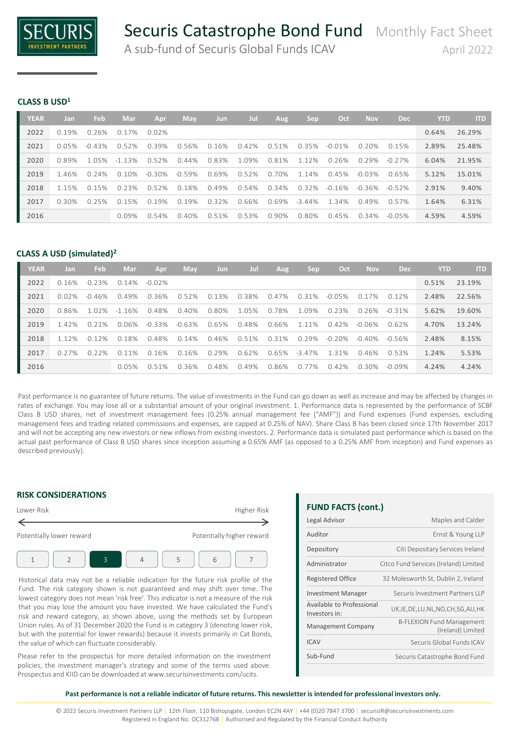

**CLASS B USD<sup>1</sup>**

| <b>YEAR</b> | Jan      | Feb       | Mar       | Apr      | May       | Jun      | Jul   | Aug      | Sep       | Oct       | <b>Nov</b> | <b>Dec</b> | <b>YTD</b> | <b>ITD</b> |
|-------------|----------|-----------|-----------|----------|-----------|----------|-------|----------|-----------|-----------|------------|------------|------------|------------|
| 2022        | 0.19%    | 0.26%     | 0.17%     | $0.02\%$ |           |          |       |          |           |           |            |            | 0.64%      | 26.29%     |
| 2021        | $0.05\%$ | $-0.43\%$ | 0.52%     | 0.39%    | 0.56%     | 0.16%    | 0.42% | 0.51%    | 0.35%     | $-0.01\%$ | 0.20%      | 0.15%      | 2.89%      | 25.48%     |
| 2020        | 0.89%    | 1.05%     | $-1.13\%$ | 0.52%    | $0.44\%$  | 0.83%    | 1.09% | 0.81%    | 1.12%     | 0.26%     | 0.29%      | $-0.27\%$  | 6.04%      | 21.95%     |
| 2019        | 146%     | 0 24%     | 0.10%     | -0.30%   | $-0.59\%$ | 0.69%    | 0.52% | 0.70%    | 1 1 4 %   | 0.45%     | -0.03%     | 0.65%      | 5.12%      | 15.01%     |
| 2018        | 115%     | 0.15%     | 0.23%     | 0.52%    | 0.18%     | $0.49\%$ | 0.54% | 0.34%    | 0.32%     | $-0.16\%$ | -0.36%     | $-0.52\%$  | 2.91%      | 9.40%      |
| 2017        | 0.30%    | 0.25%     | 0.15%     | 0.19%    | 0.19%     | 0.32%    | 0.66% | 0.69%    | $-3.44\%$ | 1.34%     | 0.49%      | 0.57%      | 1.64%      | 6.31%      |
| 2016        |          |           | $0.09\%$  | 0.54%    | 0.40%     | 0.51%    | 0.53% | $0.90\%$ | 0.80%     | 0.45%     | $0.34\%$   | $-0.05%$   | 4.59%      | 4.59%      |

# **CLASS A USD (simulated)<sup>2</sup>**

| <b>YEAR</b> | Jan     | <b>Feb</b> | Mar       | Apr       | May       | <b>Jun</b> | Jul   | Aug   | Sep       | Oct       | <b>Nov</b> | <b>Dec</b> | <b>YTD</b> | <b>ITD</b> |
|-------------|---------|------------|-----------|-----------|-----------|------------|-------|-------|-----------|-----------|------------|------------|------------|------------|
| 2022        | 0.16%   | 0.23%      | 0.14%     | $-0.02\%$ |           |            |       |       |           |           |            |            | 0.51%      | 23.19%     |
| 2021        | 0.02%   | $-0.46\%$  | በ 49%     | 0.36%     | 0.52%     | 0.13%      | 0.38% | 0.47% | 0.31%     | $-0.05\%$ | 7%<br>0.1  | 0.12%      | 2.48%      | 22.56%     |
| 2020        | 0.86%   | 1.02%      | $-1.16%$  | 0.48%     | $0.40\%$  | 0.80%      | 1.05% | 0.78% | 1.09%     | 0.23%     | 0.26%      | $-0.31\%$  | 5.62%      | 19.60%     |
| 2019        | 142%    | 0.21%      | 0.06%     | $-0.33\%$ | $-0.63\%$ | 0.65%      | 0.48% | 0.66% | 1.11%     | $0.42\%$  | $-0.06\%$  | 0.62%      | 4.70%      | 13.24%     |
| 2018        | 1 1 2 % | 0.12%      | 0.18%     | 0.48%     | 0.14%     | 0.46%      | 0.51% | 0.31% | 0.29%     | $-0.20\%$ | $-0.40\%$  | $-0.56\%$  | 2.48%      | 8.15%      |
| 2017        | 0.27%   | 0.22%      | 1%<br>O 1 | 0.16%     | 0.16%     | 0.29%      | 0.62% | 0.65% | $-3.47\%$ | 131%      | 0.46%      | 0.53%      | 1.24%      | 5.53%      |
| 2016        |         |            | 0.05%     | 0.51%     | 0.36%     | 0.48%      | 0.49% | 0.86% | 0.77%     | $0.42\%$  | 0.30%      | $-0.09\%$  | 4.24%      | 4.24%      |

Past performance is no guarantee of future returns. The value of investments in the Fund can go down as well as increase and may be affected by changes in rates of exchange. You may lose all or a substantial amount of your original investment. 1. Performance data is represented by the performance of SCBF Class B USD shares, net of investment management fees (0.25% annual management fee ("AMF")) and Fund expenses (Fund expenses, excluding management fees and trading related commissions and expenses, are capped at 0.25% of NAV). Share Class B has been closed since 17th November 2017 and will not be accepting any new investors or new inflows from existing investors. 2. Performance data is simulated past performance which is based on the actual past performance of Class B USD shares since inception assuming a 0.65% AMF (as opposed to a 0.25% AMF from inception) and Fund expenses as described previously).

# **RISK CONSIDERATIONS**



Historical data may not be a reliable indication for the future risk profile of the Fund. The risk category shown is not guaranteed and may shift over time. The lowest category does not mean 'risk free'. This indicator is not a measure of the risk that you may lose the amount you have invested. We have calculated the Fund's risk and reward category, as shown above, using the methods set by European Union rules. As of 31 December 2020 the Fund is in category 3 (denoting lower risk, but with the potential for lower rewards) because it invests primarily in Cat Bonds, the value of which can fluctuate considerably.

Please refer to the prospectus for more detailed information on the investment policies, the investment manager's strategy and some of the terms used above. Prospectus and KIID can be downloaded at www.securisinvestments.com/ucits.

**FUND FACTS (cont.)**

| Legal Advisor                              | Maples and Calder                                     |
|--------------------------------------------|-------------------------------------------------------|
| Auditor                                    | Ernst & Young LLP                                     |
| Depository                                 | Citi Depositary Services Ireland                      |
| Administrator                              | Citco Fund Services (Ireland) Limited                 |
| <b>Registered Office</b>                   | 32 Molesworth St, Dublin 2, Ireland                   |
| <b>Investment Manager</b>                  | Securis Investment Partners LLP                       |
| Available to Professional<br>Investors in: | UK, IE, DE, LU, NL, NO, CH, SG, AU, HK                |
| <b>Management Company</b>                  | <b>B-FLEXION Fund Management</b><br>(Ireland) Limited |
| <b>ICAV</b>                                | Securis Global Funds ICAV                             |
| Sub-Fund                                   | Securis Catastrophe Bond Fund                         |

#### **Past performance is not a reliable indicator of future returns. This newsletter is intended for professional investors only.**